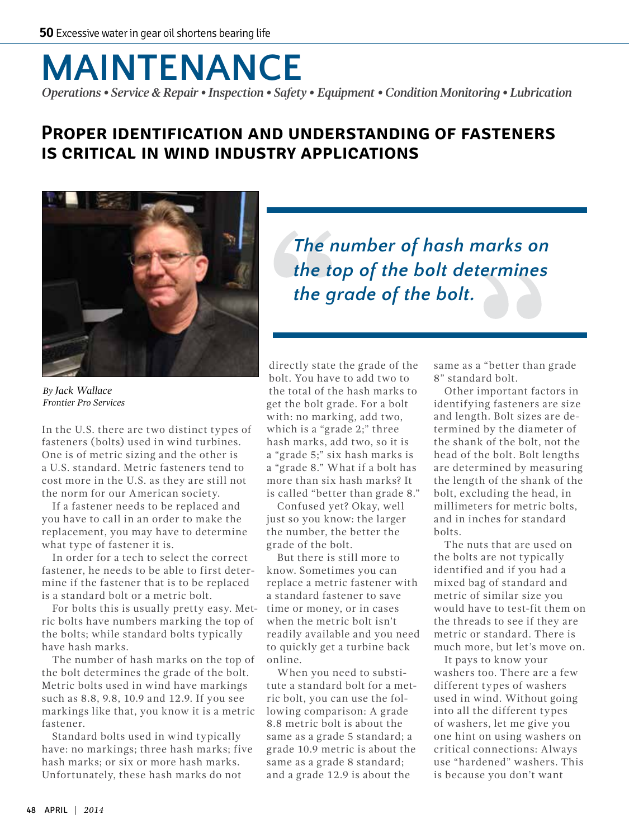## **MAINTENANCE** *Operations • Service & Repair • Inspection • Safety • Equipment • Condition Monitoring • Lubrication*

## **Proper identification and understanding of fasteners is critical in wind industry applications**



*By Jack Wallace Frontier Pro Services*

In the U.S. there are two distinct types of fasteners (bolts) used in wind turbines. One is of metric sizing and the other is a U.S. standard. Metric fasteners tend to cost more in the U.S. as they are still not the norm for our American society.

If a fastener needs to be replaced and you have to call in an order to make the replacement, you may have to determine what type of fastener it is.

In order for a tech to select the correct fastener, he needs to be able to first determine if the fastener that is to be replaced is a standard bolt or a metric bolt.

For bolts this is usually pretty easy. Metric bolts have numbers marking the top of the bolts; while standard bolts typically have hash marks.

The number of hash marks on the top of the bolt determines the grade of the bolt. Metric bolts used in wind have markings such as 8.8, 9.8, 10.9 and 12.9. If you see markings like that, you know it is a metric fastener.

Standard bolts used in wind typically have: no markings; three hash marks; five hash marks; or six or more hash marks. Unfortunately, these hash marks do not

*The number of hash marks on the top of the bolt determines the grade of the bolt.*

directly state the grade of the bolt. You have to add two to the total of the hash marks to get the bolt grade. For a bolt with: no marking, add two, which is a "grade 2;" three hash marks, add two, so it is a "grade 5;" six hash marks is a "grade 8." What if a bolt has more than six hash marks? It is called "better than grade 8."

Confused yet? Okay, well just so you know: the larger the number, the better the grade of the bolt.

But there is still more to know. Sometimes you can replace a metric fastener with a standard fastener to save time or money, or in cases when the metric bolt isn't readily available and you need to quickly get a turbine back online.

When you need to substitute a standard bolt for a metric bolt, you can use the following comparison: A grade 8.8 metric bolt is about the same as a grade 5 standard; a grade 10.9 metric is about the same as a grade 8 standard; and a grade 12.9 is about the

same as a "better than grade 8" standard bolt.

Other important factors in identifying fasteners are size and length. Bolt sizes are determined by the diameter of the shank of the bolt, not the head of the bolt. Bolt lengths are determined by measuring the length of the shank of the bolt, excluding the head, in millimeters for metric bolts, and in inches for standard bolts.

The nuts that are used on the bolts are not typically identified and if you had a mixed bag of standard and metric of similar size you would have to test-fit them on the threads to see if they are metric or standard. There is much more, but let's move on.

It pays to know your washers too. There are a few different types of washers used in wind. Without going into all the different types of washers, let me give you one hint on using washers on critical connections: Always use "hardened" washers. This is because you don't want